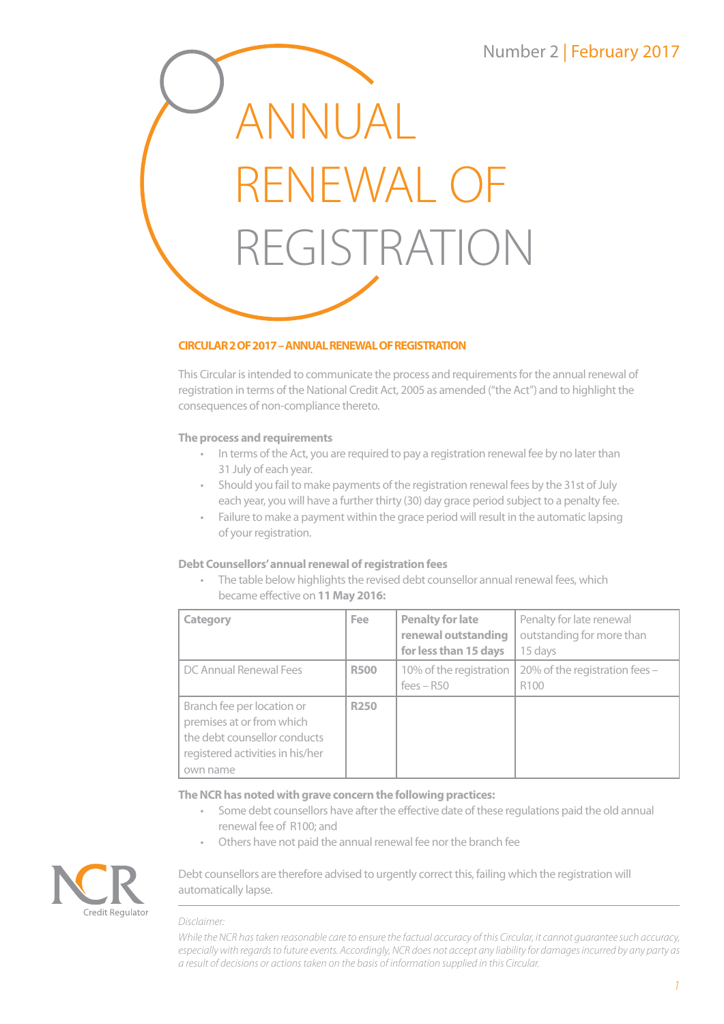# Number 2 | February 2017



## **CIRCULAR 2 OF 2017 – ANNUAL RENEWAL OF REGISTRATION**

This Circular is intended to communicate the process and requirements for the annual renewal of registration in terms of the National Credit Act, 2005 as amended ("the Act") and to highlight the consequences of non-compliance thereto.

## **The process and requirements**

- In terms of the Act, you are required to pay a registration renewal fee by no later than 31 July of each year.
- Should you fail to make payments of the registration renewal fees by the 31st of July each year, you will have a further thirty (30) day grace period subject to a penalty fee.
- Failure to make a payment within the grace period will result in the automatic lapsing of your registration.

## **Debt Counsellors' annual renewal of registration fees**

• The table below highlights the revised debt counsellor annual renewal fees, which became effective on **11 May 2016:**

| Category                                                                                                                                | <b>Fee</b>  | <b>Penalty for late</b><br>renewal outstanding<br>for less than 15 days | Penalty for late renewal<br>outstanding for more than<br>15 days |
|-----------------------------------------------------------------------------------------------------------------------------------------|-------------|-------------------------------------------------------------------------|------------------------------------------------------------------|
| DC Annual Renewal Fees                                                                                                                  | <b>R500</b> | 10% of the registration<br>$fees - R50$                                 | 20% of the registration fees -<br>R <sub>100</sub>               |
| Branch fee per location or<br>premises at or from which<br>the debt counsellor conducts<br>registered activities in his/her<br>own name | <b>R250</b> |                                                                         |                                                                  |

#### **The NCR has noted with grave concern the following practices:**

- Some debt counsellors have after the effective date of these regulations paid the old annual renewal fee of R100; and
- Others have not paid the annual renewal fee nor the branch fee



### Debt counsellors are therefore advised to urgently correct this, failing which the registration will automatically lapse.

#### *Disclaimer:*

*While the NCR has taken reasonable care to ensure the factual accuracy of this Circular, it cannot guarantee such accuracy, especially with regards to future events. Accordingly, NCR does not accept any liability for damages incurred by any party as a result of decisions or actions taken on the basis of information supplied in this Circular.*